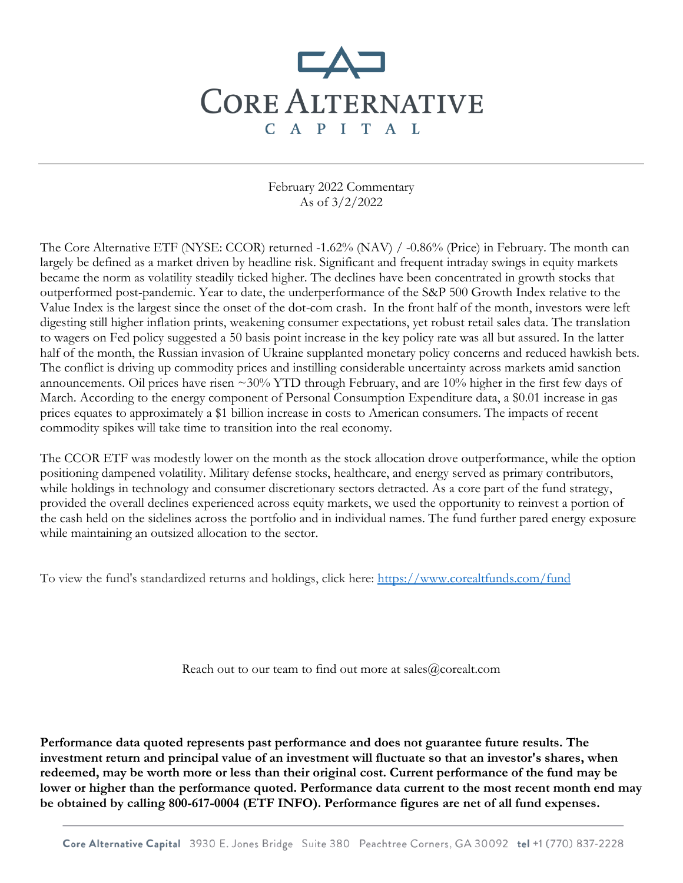

February 2022 Commentary As of 3/2/2022

The Core Alternative ETF (NYSE: CCOR) returned -1.62% (NAV) / -0.86% (Price) in February. The month can largely be defined as a market driven by headline risk. Significant and frequent intraday swings in equity markets became the norm as volatility steadily ticked higher. The declines have been concentrated in growth stocks that outperformed post-pandemic. Year to date, the underperformance of the S&P 500 Growth Index relative to the Value Index is the largest since the onset of the dot-com crash. In the front half of the month, investors were left digesting still higher inflation prints, weakening consumer expectations, yet robust retail sales data. The translation to wagers on Fed policy suggested a 50 basis point increase in the key policy rate was all but assured. In the latter half of the month, the Russian invasion of Ukraine supplanted monetary policy concerns and reduced hawkish bets. The conflict is driving up commodity prices and instilling considerable uncertainty across markets amid sanction announcements. Oil prices have risen  $\sim$ 30% YTD through February, and are 10% higher in the first few days of March. According to the energy component of Personal Consumption Expenditure data, a \$0.01 increase in gas prices equates to approximately a \$1 billion increase in costs to American consumers. The impacts of recent commodity spikes will take time to transition into the real economy.

The CCOR ETF was modestly lower on the month as the stock allocation drove outperformance, while the option positioning dampened volatility. Military defense stocks, healthcare, and energy served as primary contributors, while holdings in technology and consumer discretionary sectors detracted. As a core part of the fund strategy, provided the overall declines experienced across equity markets, we used the opportunity to reinvest a portion of the cash held on the sidelines across the portfolio and in individual names. The fund further pared energy exposure while maintaining an outsized allocation to the sector.

To view the fund's standardized returns and holdings, click here:<https://www.corealtfunds.com/fund>

Reach out to our team to find out more at sales@corealt.com

**Performance data quoted represents past performance and does not guarantee future results. The investment return and principal value of an investment will fluctuate so that an investor's shares, when redeemed, may be worth more or less than their original cost. Current performance of the fund may be lower or higher than the performance quoted. Performance data current to the most recent month end may be obtained by calling 800-617-0004 (ETF INFO). Performance figures are net of all fund expenses.** 

Core Alternative Capital 3930 E. Jones Bridge Suite 380 Peachtree Corners, GA 30092 tel +1 (770) 837-2228